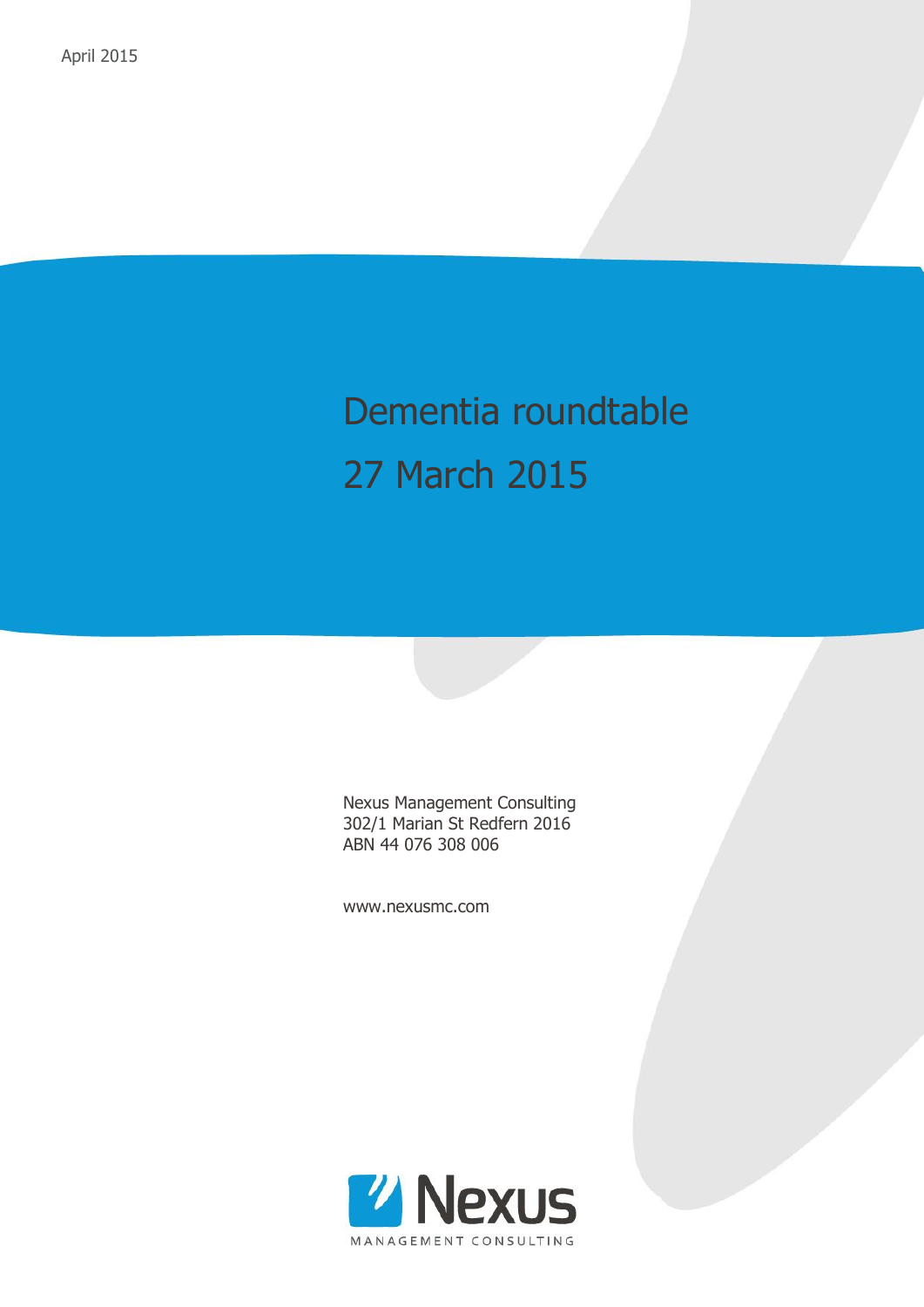# Dementia roundtable 27 March 2015

Nexus Management Consulting 302/1 Marian St Redfern 2016 ABN 44 076 308 006

www.nexusmc.com

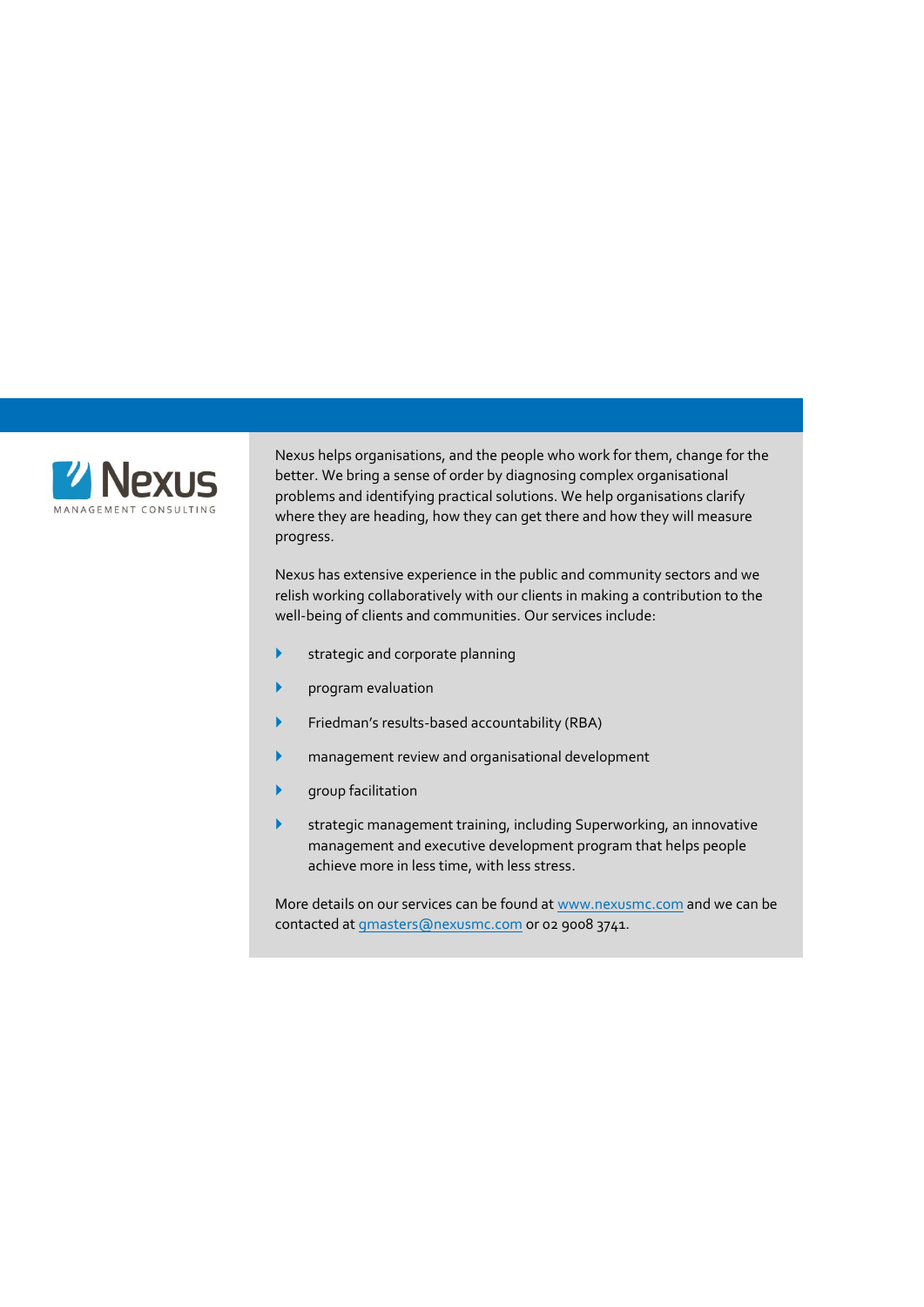

Nexus helps organisations, and the people who work for them, change for the better. We bring a sense of order by diagnosing complex organisational problems and identifying practical solutions. We help organisations clarify where they are heading, how they can get there and how they will measure progress.

Nexus has extensive experience in the public and community sectors and we relish working collaboratively with our clients in making a contribution to the well-being of clients and communities. Our services include:

- **Strategic and corporate planning**
- program evaluation
- Friedman's results-based accountability (RBA)
- management review and organisational development
- group facilitation
- strategic management training, including Superworking, an innovative management and executive development program that helps people achieve more in less time, with less stress.

More details on our services can be found a[t www.nexusmc.com](http://www.nexusmc.com/) and we can be contacted a[t gmasters@nexusmc.com](mailto:gmasters@nexusmc.com) or 02 9008 3741.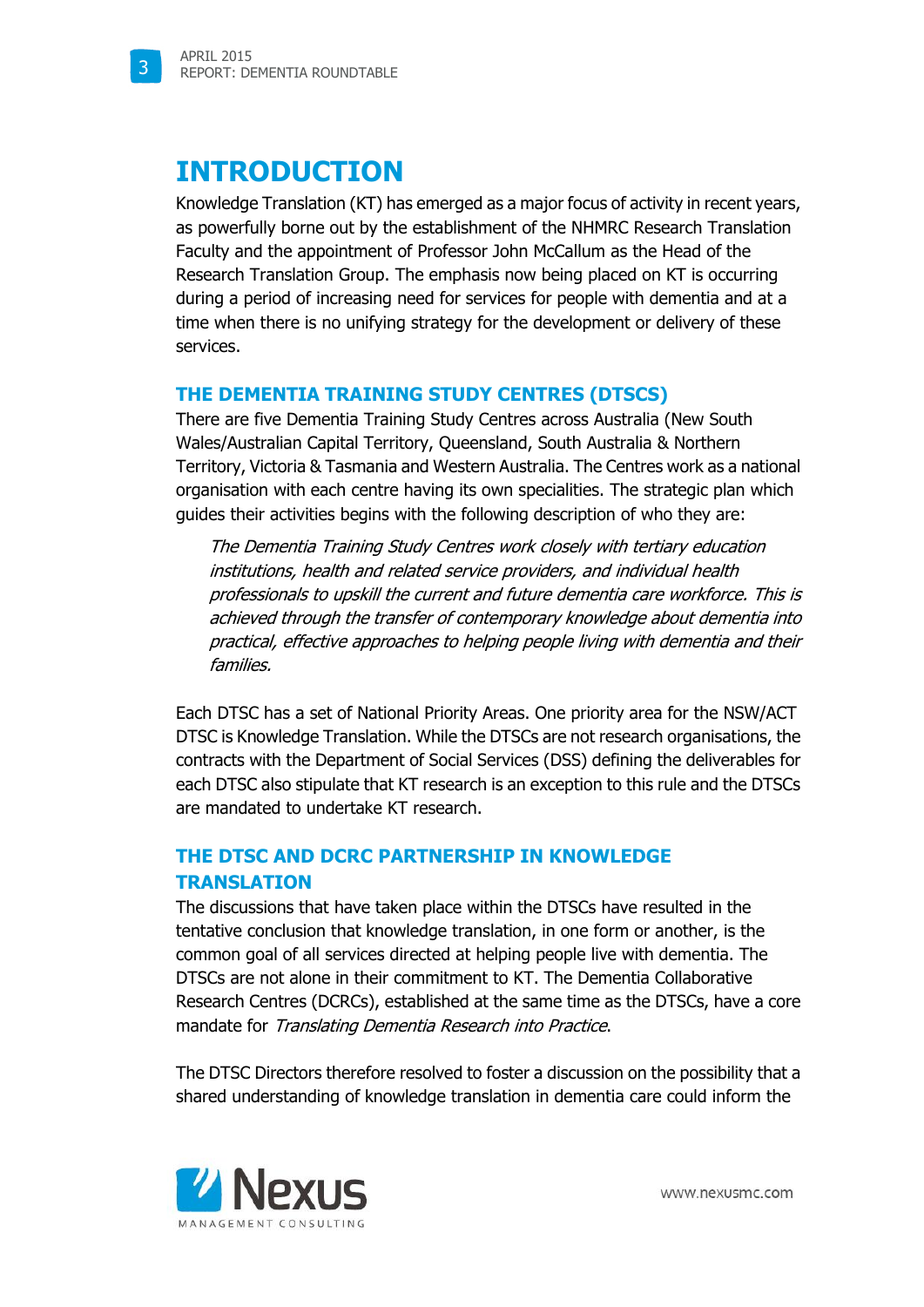### **INTRODUCTION**

Knowledge Translation (KT) has emerged as a major focus of activity in recent years, as powerfully borne out by the establishment of the NHMRC Research Translation Faculty and the appointment of Professor John McCallum as the Head of the Research Translation Group. The emphasis now being placed on KT is occurring during a period of increasing need for services for people with dementia and at a time when there is no unifying strategy for the development or delivery of these services.

#### **THE DEMENTIA TRAINING STUDY CENTRES (DTSCS)**

There are five Dementia Training Study Centres across Australia (New South Wales/Australian Capital Territory, Queensland, South Australia & Northern Territory, Victoria & Tasmania and Western Australia. The Centres work as a national organisation with each centre having its own specialities. The strategic plan which guides their activities begins with the following description of who they are:

The Dementia Training Study Centres work closely with tertiary education institutions, health and related service providers, and individual health professionals to upskill the current and future dementia care workforce. This is achieved through the transfer of contemporary knowledge about dementia into practical, effective approaches to helping people living with dementia and their families.

Each DTSC has a set of National Priority Areas. One priority area for the NSW/ACT DTSC is Knowledge Translation. While the DTSCs are not research organisations, the contracts with the Department of Social Services (DSS) defining the deliverables for each DTSC also stipulate that KT research is an exception to this rule and the DTSCs are mandated to undertake KT research.

### **THE DTSC AND DCRC PARTNERSHIP IN KNOWLEDGE TRANSLATION**

The discussions that have taken place within the DTSCs have resulted in the tentative conclusion that knowledge translation, in one form or another, is the common goal of all services directed at helping people live with dementia. The DTSCs are not alone in their commitment to KT. The Dementia Collaborative Research Centres (DCRCs), established at the same time as the DTSCs, have a core mandate for Translating Dementia Research into Practice.

The DTSC Directors therefore resolved to foster a discussion on the possibility that a shared understanding of knowledge translation in dementia care could inform the

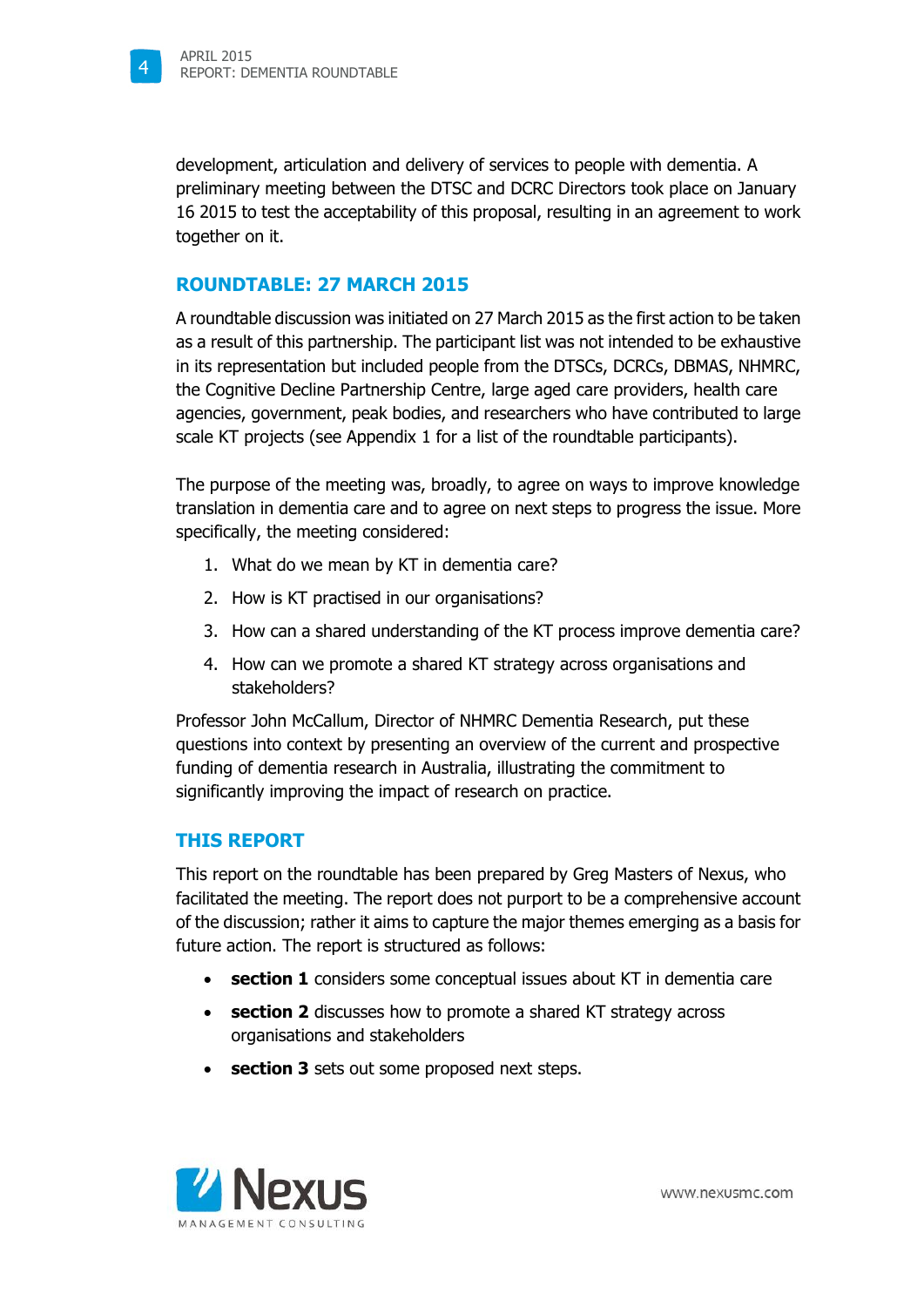

development, articulation and delivery of services to people with dementia. A preliminary meeting between the DTSC and DCRC Directors took place on January 16 2015 to test the acceptability of this proposal, resulting in an agreement to work together on it.

#### **ROUNDTABLE: 27 MARCH 2015**

A roundtable discussion was initiated on 27 March 2015 as the first action to be taken as a result of this partnership. The participant list was not intended to be exhaustive in its representation but included people from the DTSCs, DCRCs, DBMAS, NHMRC, the Cognitive Decline Partnership Centre, large aged care providers, health care agencies, government, peak bodies, and researchers who have contributed to large scale KT projects (see Appendix 1 for a list of the roundtable participants).

The purpose of the meeting was, broadly, to agree on ways to improve knowledge translation in dementia care and to agree on next steps to progress the issue. More specifically, the meeting considered:

- 1. What do we mean by KT in dementia care?
- 2. How is KT practised in our organisations?
- 3. How can a shared understanding of the KT process improve dementia care?
- 4. How can we promote a shared KT strategy across organisations and stakeholders?

Professor John McCallum, Director of NHMRC Dementia Research, put these questions into context by presenting an overview of the current and prospective funding of dementia research in Australia, illustrating the commitment to significantly improving the impact of research on practice.

#### **THIS REPORT**

This report on the roundtable has been prepared by Greg Masters of Nexus, who facilitated the meeting. The report does not purport to be a comprehensive account of the discussion; rather it aims to capture the major themes emerging as a basis for future action. The report is structured as follows:

- **section 1** considers some conceptual issues about KT in dementia care
- **section 2** discusses how to promote a shared KT strategy across organisations and stakeholders
- **section 3** sets out some proposed next steps.

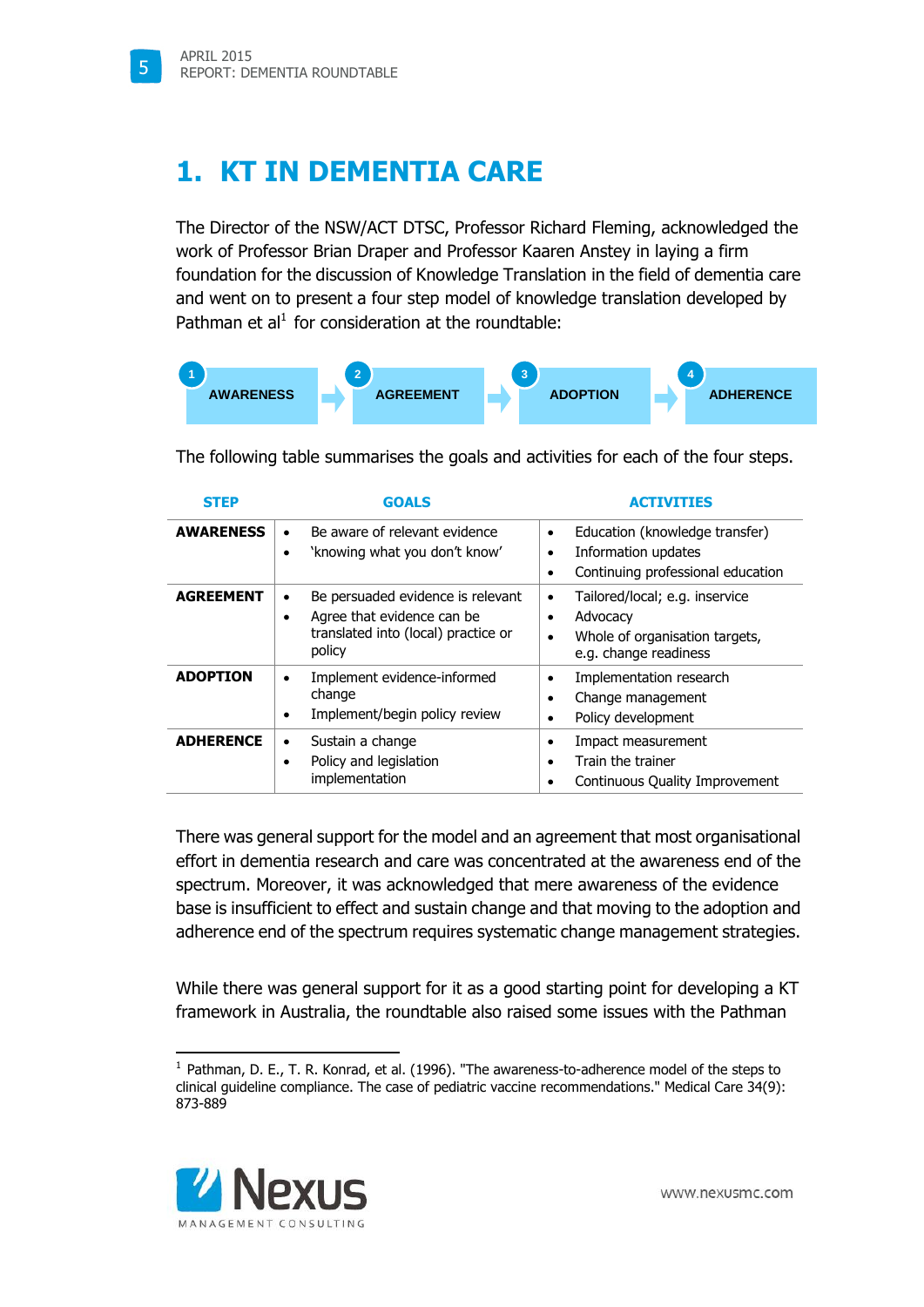5

## **1. KT IN DEMENTIA CARE**

The Director of the NSW/ACT DTSC, Professor Richard Fleming, acknowledged the work of Professor Brian Draper and Professor Kaaren Anstey in laying a firm foundation for the discussion of Knowledge Translation in the field of dementia care and went on to present a four step model of knowledge translation developed by Pathman et al $<sup>1</sup>$  for consideration at the roundtable:</sup>



| <b>STEP</b>      | <b>GOALS</b>                                                                                                                       | <b>ACTIVITTES</b>                                                                                          |
|------------------|------------------------------------------------------------------------------------------------------------------------------------|------------------------------------------------------------------------------------------------------------|
| <b>AWARENESS</b> | Be aware of relevant evidence<br>'knowing what you don't know'<br>٠                                                                | Education (knowledge transfer)<br>Information updates<br>Continuing professional education                 |
| <b>AGREEMENT</b> | Be persuaded evidence is relevant<br>$\bullet$<br>Agree that evidence can be<br>٠<br>translated into (local) practice or<br>policy | Tailored/local; e.g. inservice<br>٠<br>Advocacy<br>Whole of organisation targets,<br>e.g. change readiness |
| <b>ADOPTION</b>  | Implement evidence-informed<br>٠<br>change<br>Implement/begin policy review                                                        | Implementation research<br>Change management<br>Policy development                                         |
| <b>ADHERENCE</b> | Sustain a change<br>٠<br>Policy and legislation<br>٠<br>implementation                                                             | Impact measurement<br>Train the trainer<br>Continuous Quality Improvement                                  |

The following table summarises the goals and activities for each of the four steps.

There was general support for the model and an agreement that most organisational effort in dementia research and care was concentrated at the awareness end of the spectrum. Moreover, it was acknowledged that mere awareness of the evidence base is insufficient to effect and sustain change and that moving to the adoption and adherence end of the spectrum requires systematic change management strategies.

While there was general support for it as a good starting point for developing a KT framework in Australia, the roundtable also raised some issues with the Pathman

<sup>&</sup>lt;sup>1</sup> Pathman, D. E., T. R. Konrad, et al. (1996). "The awareness-to-adherence model of the steps to clinical guideline compliance. The case of pediatric vaccine recommendations." Medical Care 34(9): 873-889



j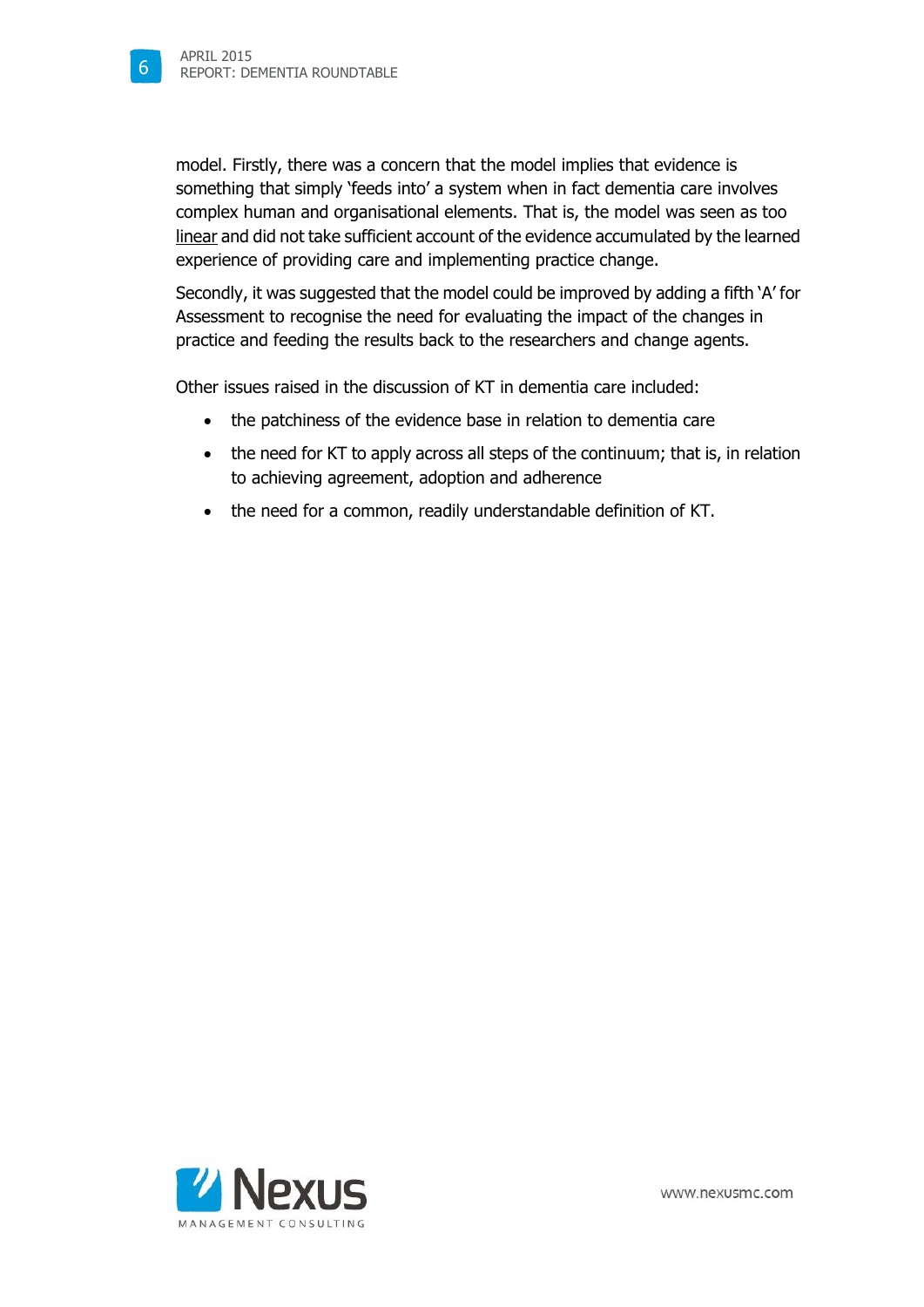model. Firstly, there was a concern that the model implies that evidence is something that simply 'feeds into' a system when in fact dementia care involves complex human and organisational elements. That is, the model was seen as too linear and did not take sufficient account of the evidence accumulated by the learned experience of providing care and implementing practice change.

Secondly, it was suggested that the model could be improved by adding a fifth 'A' for Assessment to recognise the need for evaluating the impact of the changes in practice and feeding the results back to the researchers and change agents.

Other issues raised in the discussion of KT in dementia care included:

- the patchiness of the evidence base in relation to dementia care
- the need for KT to apply across all steps of the continuum; that is, in relation to achieving agreement, adoption and adherence
- the need for a common, readily understandable definition of KT.

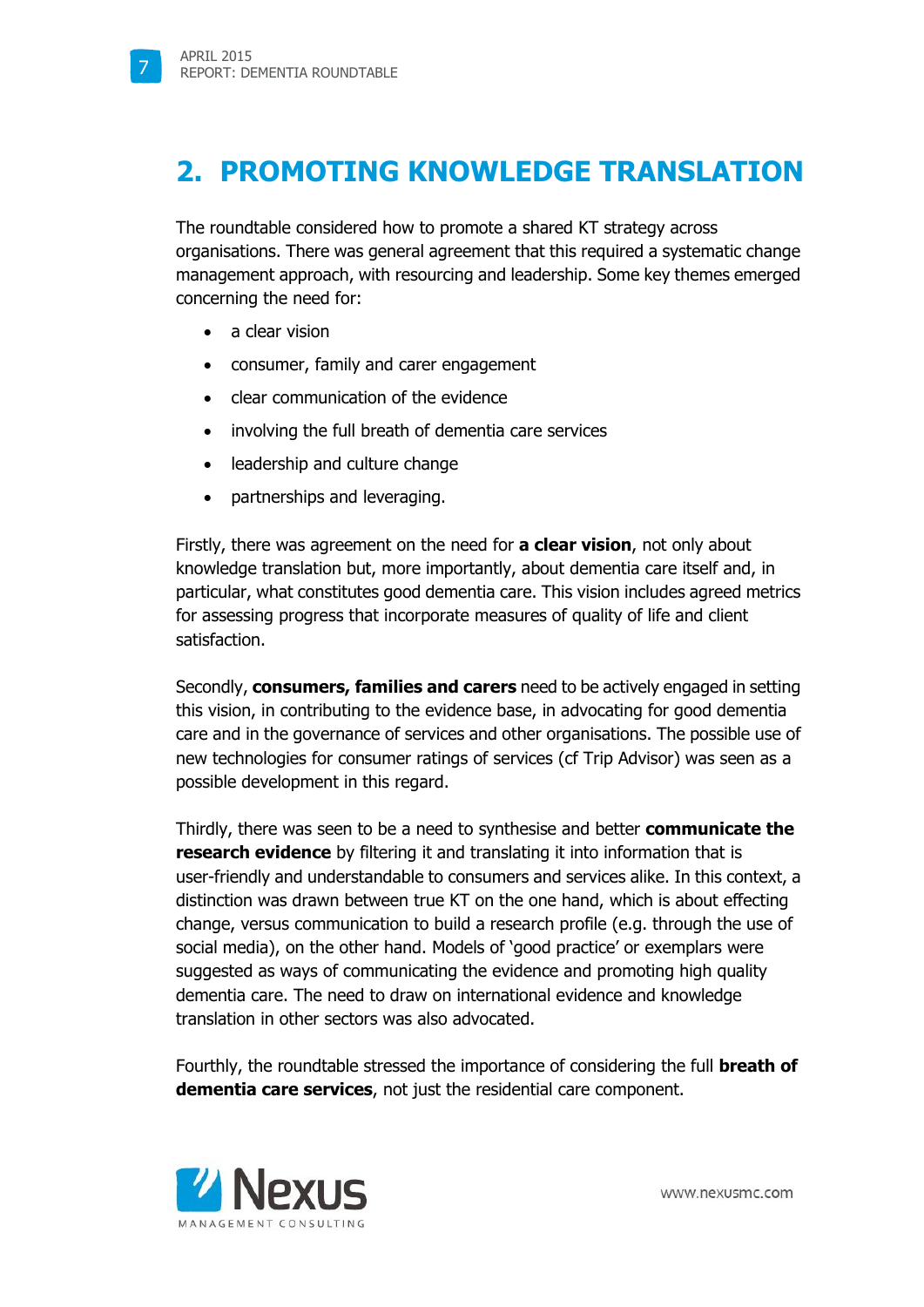7

### **2. PROMOTING KNOWLEDGE TRANSLATION**

The roundtable considered how to promote a shared KT strategy across organisations. There was general agreement that this required a systematic change management approach, with resourcing and leadership. Some key themes emerged concerning the need for:

- a clear vision
- consumer, family and carer engagement
- clear communication of the evidence
- involving the full breath of dementia care services
- leadership and culture change
- partnerships and leveraging.

Firstly, there was agreement on the need for **a clear vision**, not only about knowledge translation but, more importantly, about dementia care itself and, in particular, what constitutes good dementia care. This vision includes agreed metrics for assessing progress that incorporate measures of quality of life and client satisfaction.

Secondly, **consumers, families and carers** need to be actively engaged in setting this vision, in contributing to the evidence base, in advocating for good dementia care and in the governance of services and other organisations. The possible use of new technologies for consumer ratings of services (cf Trip Advisor) was seen as a possible development in this regard.

Thirdly, there was seen to be a need to synthesise and better **communicate the research evidence** by filtering it and translating it into information that is user-friendly and understandable to consumers and services alike. In this context, a distinction was drawn between true KT on the one hand, which is about effecting change, versus communication to build a research profile (e.g. through the use of social media), on the other hand. Models of 'good practice' or exemplars were suggested as ways of communicating the evidence and promoting high quality dementia care. The need to draw on international evidence and knowledge translation in other sectors was also advocated.

Fourthly, the roundtable stressed the importance of considering the full **breath of dementia care services**, not just the residential care component.



www.nexusmc.com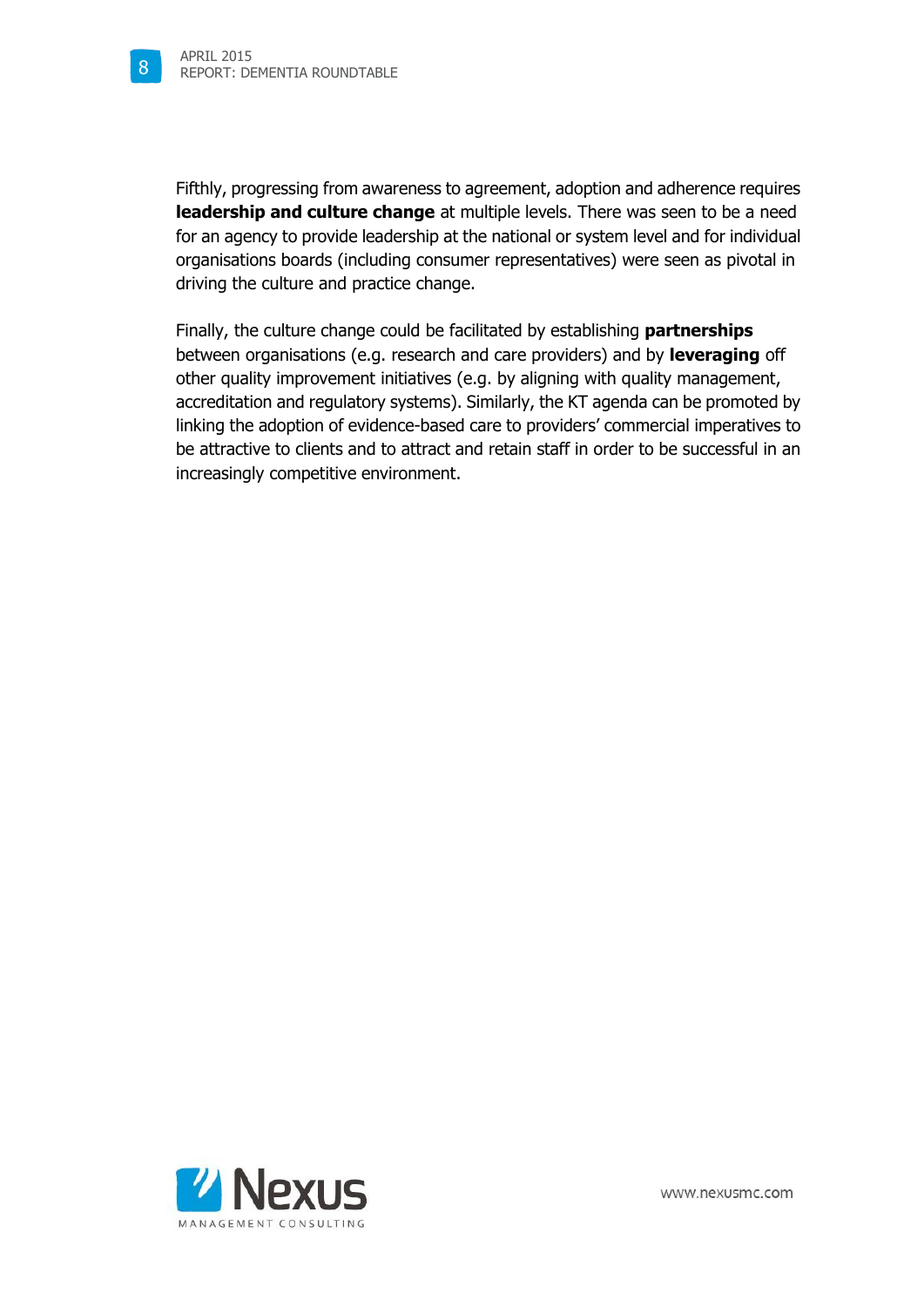Fifthly, progressing from awareness to agreement, adoption and adherence requires **leadership and culture change** at multiple levels. There was seen to be a need for an agency to provide leadership at the national or system level and for individual organisations boards (including consumer representatives) were seen as pivotal in driving the culture and practice change.

Finally, the culture change could be facilitated by establishing **partnerships** between organisations (e.g. research and care providers) and by **leveraging** off other quality improvement initiatives (e.g. by aligning with quality management, accreditation and regulatory systems). Similarly, the KT agenda can be promoted by linking the adoption of evidence-based care to providers' commercial imperatives to be attractive to clients and to attract and retain staff in order to be successful in an increasingly competitive environment.



www.nexusmc.com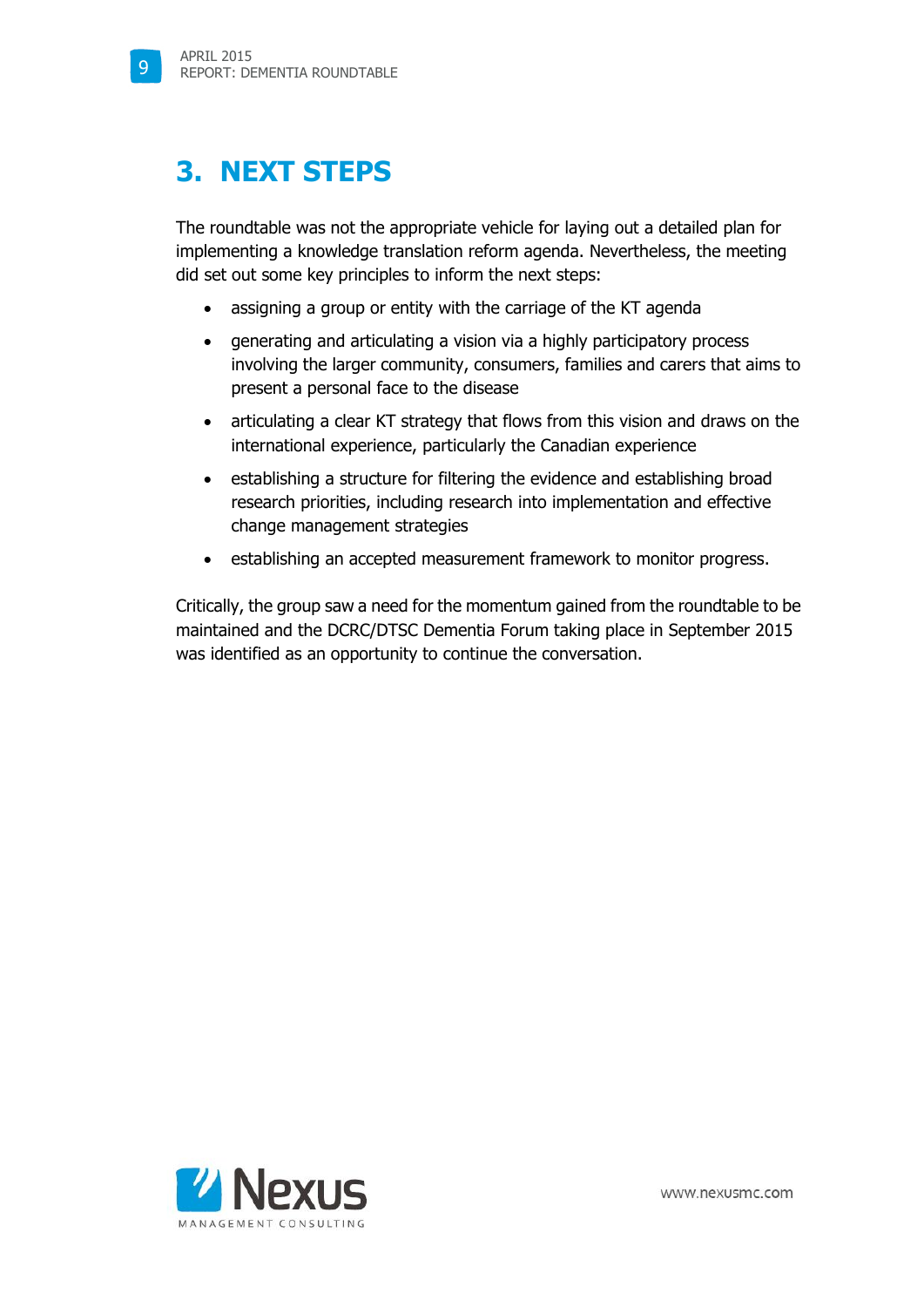9

## **3. NEXT STEPS**

The roundtable was not the appropriate vehicle for laying out a detailed plan for implementing a knowledge translation reform agenda. Nevertheless, the meeting did set out some key principles to inform the next steps:

- assigning a group or entity with the carriage of the KT agenda
- generating and articulating a vision via a highly participatory process involving the larger community, consumers, families and carers that aims to present a personal face to the disease
- articulating a clear KT strategy that flows from this vision and draws on the international experience, particularly the Canadian experience
- establishing a structure for filtering the evidence and establishing broad research priorities, including research into implementation and effective change management strategies
- **extablishing an accepted measurement framework to monitor progress.**

Critically, the group saw a need for the momentum gained from the roundtable to be maintained and the DCRC/DTSC Dementia Forum taking place in September 2015 was identified as an opportunity to continue the conversation.

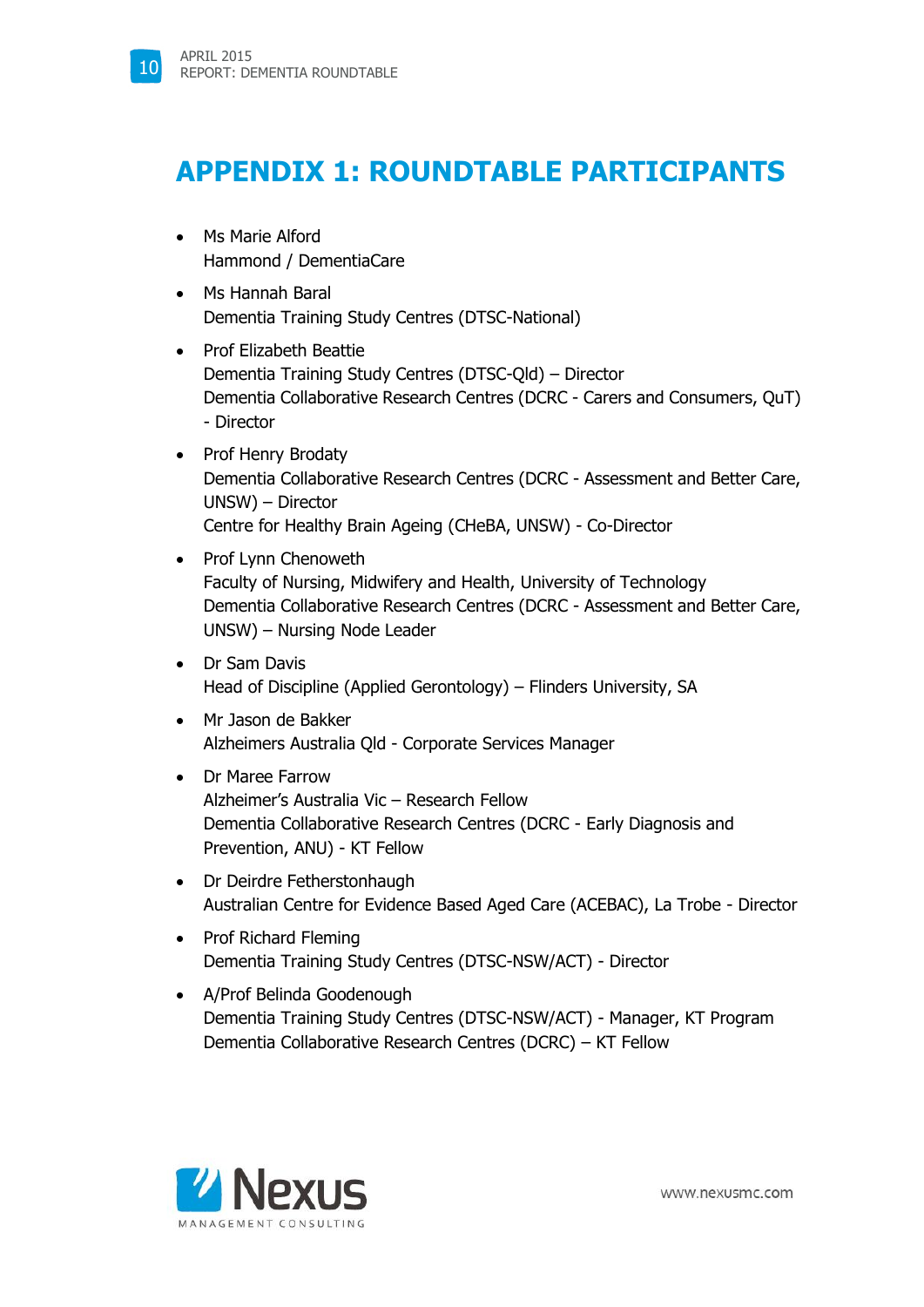### **APPENDIX 1: ROUNDTABLE PARTICIPANTS**

- Ms Marie Alford Hammond / DementiaCare
- Ms Hannah Baral Dementia Training Study Centres (DTSC-National)
- Prof Elizabeth Beattie Dementia Training Study Centres (DTSC-Qld) – Director Dementia Collaborative Research Centres (DCRC - Carers and Consumers, QuT) - Director
- Prof Henry Brodaty Dementia Collaborative Research Centres (DCRC - Assessment and Better Care, UNSW) – Director Centre for Healthy Brain Ageing (CHeBA, UNSW) - Co-Director
- Prof Lynn Chenoweth Faculty of Nursing, Midwifery and Health, University of Technology Dementia Collaborative Research Centres (DCRC - Assessment and Better Care, UNSW) – Nursing Node Leader
- Dr Sam Davis Head of Discipline (Applied Gerontology) – Flinders University, SA
- Mr Jason de Bakker Alzheimers Australia Qld - Corporate Services Manager
- Dr Maree Farrow Alzheimer's Australia Vic – Research Fellow Dementia Collaborative Research Centres (DCRC - Early Diagnosis and Prevention, ANU) - KT Fellow
- Dr Deirdre Fetherstonhaugh Australian Centre for Evidence Based Aged Care (ACEBAC), La Trobe - Director
- Prof Richard Fleming Dementia Training Study Centres (DTSC-NSW/ACT) - Director
- A/Prof Belinda Goodenough Dementia Training Study Centres (DTSC-NSW/ACT) - Manager, KT Program Dementia Collaborative Research Centres (DCRC) – KT Fellow

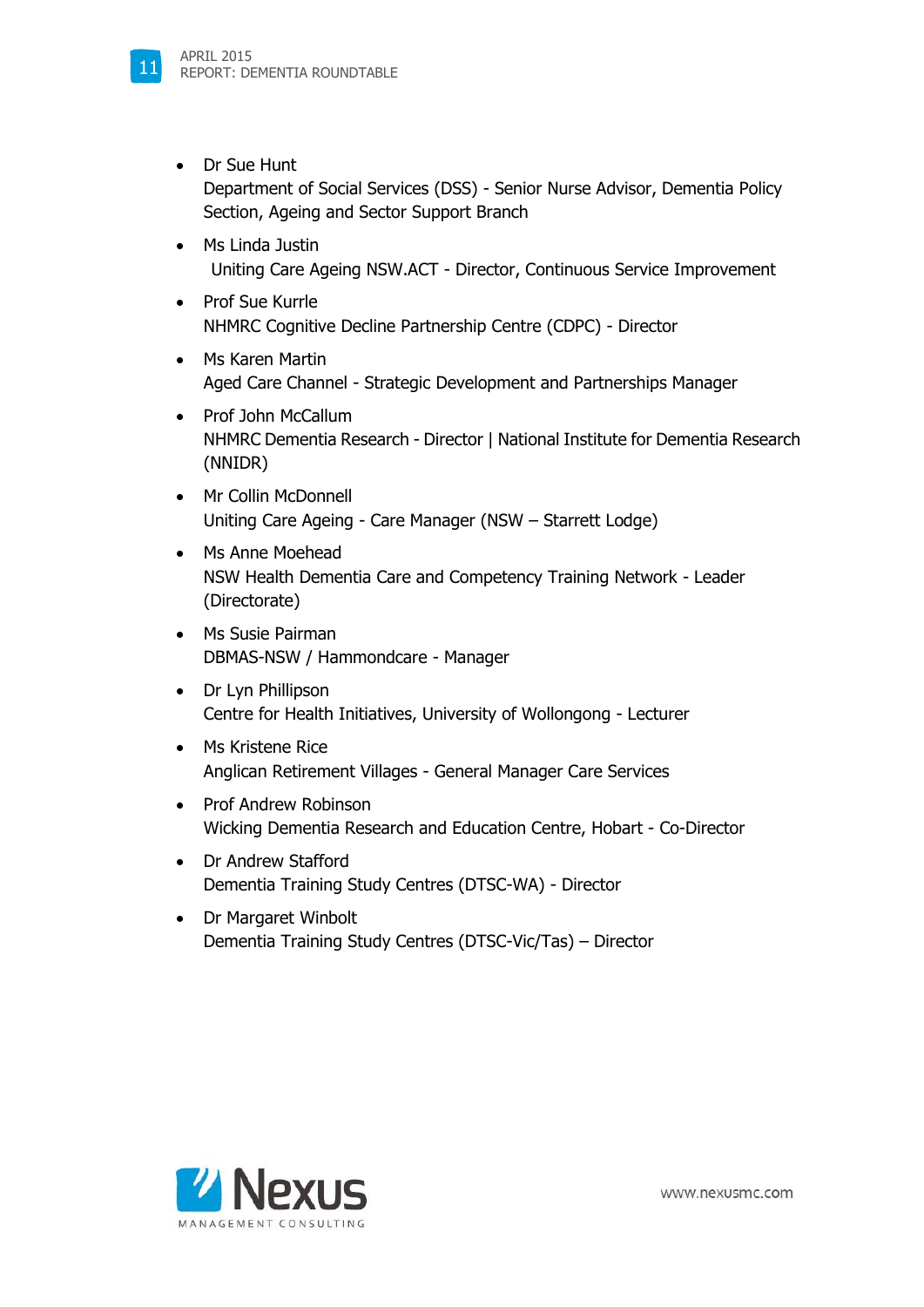

- Dr Sue Hunt Department of Social Services (DSS) - Senior Nurse Advisor, Dementia Policy Section, Ageing and Sector Support Branch
- Ms Linda Justin Uniting Care Ageing NSW.ACT - Director, Continuous Service Improvement
- Prof Sue Kurrle NHMRC Cognitive Decline Partnership Centre (CDPC) - Director
- Ms Karen Martin Aged Care Channel - Strategic Development and Partnerships Manager
- Prof John McCallum NHMRC Dementia Research - Director | National Institute for Dementia Research (NNIDR)
- Mr Collin McDonnell Uniting Care Ageing - Care Manager (NSW – Starrett Lodge)
- Ms Anne Moehead NSW Health Dementia Care and Competency Training Network - Leader (Directorate)
- Ms Susie Pairman DBMAS-NSW / Hammondcare - Manager
- Dr Lyn Phillipson Centre for Health Initiatives, University of Wollongong - Lecturer
- Ms Kristene Rice Anglican Retirement Villages - General Manager Care Services
- Prof Andrew Robinson Wicking Dementia Research and Education Centre, Hobart - Co-Director
- Dr Andrew Stafford Dementia Training Study Centres (DTSC-WA) - Director
- Dr Margaret Winbolt Dementia Training Study Centres (DTSC-Vic/Tas) – Director